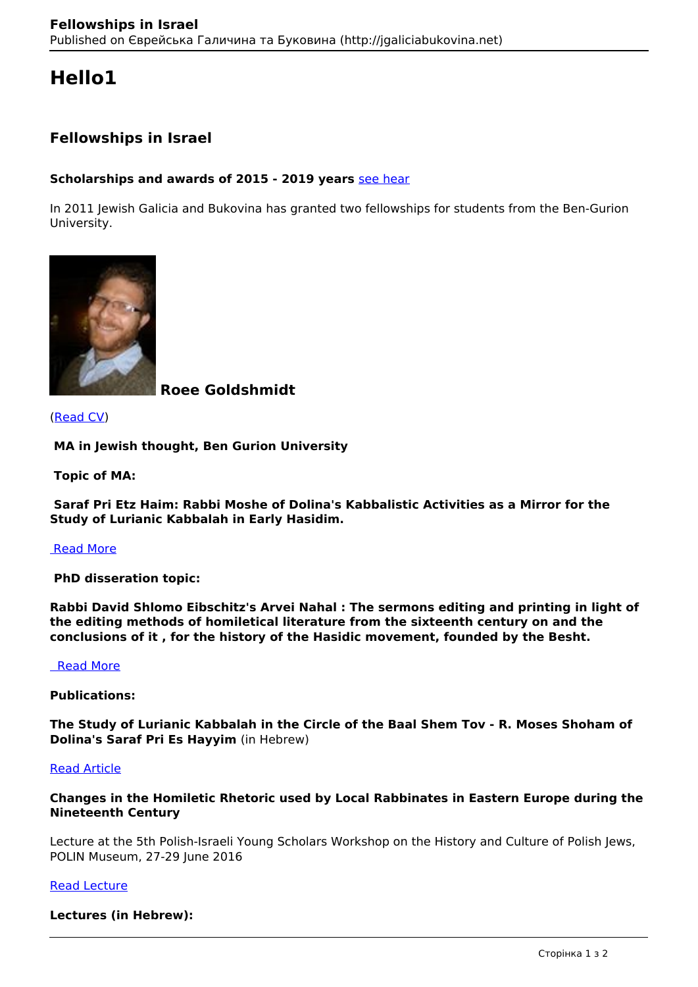# **Hello1**

# **Fellowships in Israel**

# **Scholarships and awards of 2015 - 2019 years** [see hear](http://galiciabukovinaproject.com/content/scholarships)

In 2011 Jewish Galicia and Bukovina has granted two fellowships for students from the Ben-Gurion University.



 **Roee Goldshmidt** 

(Read CV)

 **MA in Jewish thought, Ben Gurion University**

 **Topic of MA:**

 **Saraf Pri Etz Haim: Rabbi Moshe of Dolina's Kabbalistic Activities as a Mirror for the Study of Lurianic Kabbalah in Early Hasidim.**

#### Read More

 **PhD disseration topic:**

**Rabbi David Shlomo Eibschitz's Arvei Nahal : The sermons editing and printing in light of the editing methods of homiletical literature from the sixteenth century on and the conclusions of it , for the history of the Hasidic movement, founded by the Besht.**

# Read More

#### **Publications:**

**The Study of Lurianic Kabbalah in the Circle of the Baal Shem Tov - R. Moses Shoham of Dolina's Saraf Pri Es Hayyim** (in Hebrew)

# Read Article

#### **Changes in the Homiletic Rhetoric used by Local Rabbinates in Eastern Europe during the Nineteenth Century**

Lecture at the 5th Polish-Israeli Young Scholars Workshop on the History and Culture of Polish Jews, POLIN Museum, 27-29 June 2016

#### Read Lecture

**Lectures (in Hebrew):**